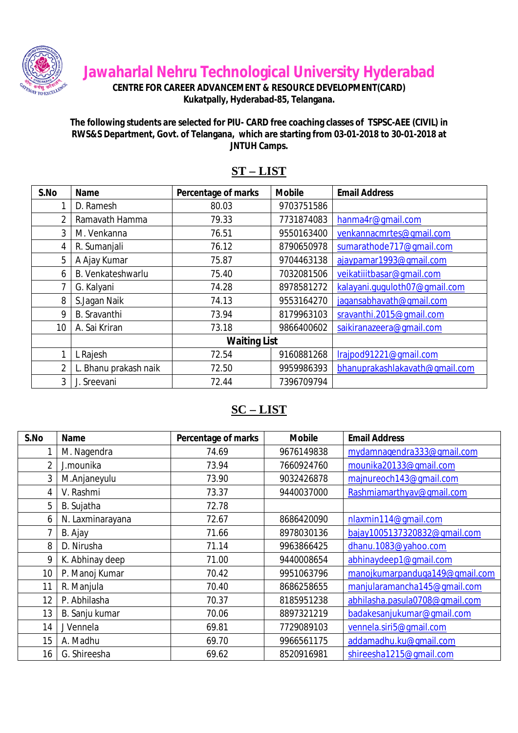

**Jawaharlal Nehru Technological University Hyderabad**

**CENTRE FOR CAREER ADVANCEMENT & RESOURCE DEVELOPMENT(CARD)**

**Kukatpally, Hyderabad-85, Telangana.**

**The following students are selected for PIU- CARD free coaching classes of TSPSC-AEE (CIVIL) in RWS&S Department, Govt. of Telangana, which are starting from 03-01-2018 to 30-01-2018 at JNTUH Camps.**

| S.No           | <b>Name</b>           | Percentage of marks | <b>Mobile</b> | <b>Email Address</b>           |
|----------------|-----------------------|---------------------|---------------|--------------------------------|
| 1              | D. Ramesh             | 80.03               | 9703751586    |                                |
| $\overline{2}$ | Ramavath Hamma        | 79.33               | 7731874083    | hanma4r@gmail.com              |
| 3              | M. Venkanna           | 76.51               | 9550163400    | venkannacmrtes@gmail.com       |
| 4              | R. Sumanjali          | 76.12               | 8790650978    | sumarathode717@qmail.com       |
| 5              | A Ajay Kumar          | 75.87               | 9704463138    | ajaypamar1993@qmail.com        |
| 6              | B. Venkateshwarlu     | 75.40               | 7032081506    | veikatiiitbasar@qmail.com      |
| 7              | G. Kalyani            | 74.28               | 8978581272    | kalayani.ququloth07@qmail.com  |
| 8              | S.Jagan Naik          | 74.13               | 9553164270    | jagansabhavath@gmail.com       |
| 9              | <b>B.</b> Sravanthi   | 73.94               | 8179963103    | sravanthi.2015@gmail.com       |
| 10             | A. Sai Kriran         | 73.18               | 9866400602    | saikiranazeera@qmail.com       |
|                |                       | <b>Waiting List</b> |               |                                |
|                | L Rajesh              | 72.54               | 9160881268    | Irajpod91221@gmail.com         |
| $\overline{2}$ | L. Bhanu prakash naik | 72.50               | 9959986393    | bhanuprakashlakavath@qmail.com |
| 3              | J. Sreevani           | 72.44               | 7396709794    |                                |

#### **ST – LIST**

#### **SC – LIST**

| S.No           | <b>Name</b>      | Percentage of marks | <b>Mobile</b> | <b>Email Address</b>           |
|----------------|------------------|---------------------|---------------|--------------------------------|
|                | M. Nagendra      | 74.69               | 9676149838    | mydamnagendra333@gmail.com     |
| $\overline{2}$ | J.mounika        | 73.94               | 7660924760    | mounika20133@qmail.com         |
| 3              | M.Anjaneyulu     | 73.90               | 9032426878    | majnureoch143@qmail.com        |
| 4              | V. Rashmi        | 73.37               | 9440037000    | Rashmiamarthyav@qmail.com      |
| 5              | B. Sujatha       | 72.78               |               |                                |
| 6              | N. Laxminarayana | 72.67               | 8686420090    | nlaxmin114@qmail.com           |
|                | B. Ajay          | 71.66               | 8978030136    | bajay1005137320832@qmail.com   |
| 8              | D. Nirusha       | 71.14               | 9963866425    | dhanu.1083@yahoo.com           |
| 9              | K. Abhinay deep  | 71.00               | 9440008654    | abhinaydeep1@qmail.com         |
| 10             | P. Manoj Kumar   | 70.42               | 9951063796    | manojkumarpanduga149@gmail.com |
| 11             | R. Manjula       | 70.40               | 8686258655    | manjularamancha145@qmail.com   |
| 12             | P. Abhilasha     | 70.37               | 8185951238    | abhilasha.pasula0708@qmail.com |
| 13             | B. Sanju kumar   | 70.06               | 8897321219    | badakesanjukumar@qmail.com     |
| 14             | J Vennela        | 69.81               | 7729089103    | vennela.siri5@qmail.com        |
| 15             | A. Madhu         | 69.70               | 9966561175    | addamadhu.ku@qmail.com         |
| 16             | G. Shireesha     | 69.62               | 8520916981    | shireesha1215@qmail.com        |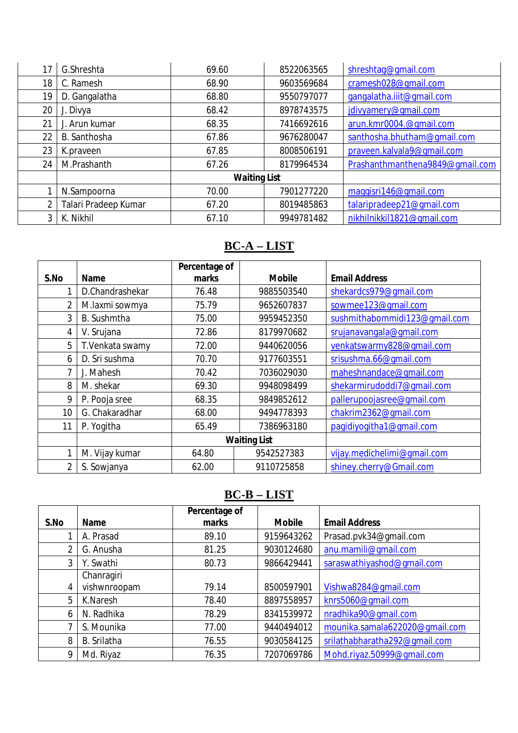| 17             | G.Shreshta           | 69.60               | 8522063565 | shreshtaq@qmail.com             |
|----------------|----------------------|---------------------|------------|---------------------------------|
| 18             | C. Ramesh            | 68.90               | 9603569684 | cramesh028@gmail.com            |
| 19             | D. Gangalatha        | 68.80               | 9550797077 | gangalatha.iiit@gmail.com       |
| 20             | J. Divya             | 68.42               | 8978743575 | jdivyamery@gmail.com            |
| 21             | J. Arun kumar        | 68.35               | 7416692616 | arun.kmr0004.@gmail.com         |
| 22             | B. Santhosha         | 67.86               | 9676280047 | santhosha.bhutham@qmail.com     |
| 23             | K.praveen            | 67.85               | 8008506191 | praveen.kalvala9@qmail.com      |
| 24             | M.Prashanth          | 67.26               | 8179964534 | Prashanthmanthena9849@qmail.com |
|                |                      | <b>Waiting List</b> |            |                                 |
|                | N.Sampoorna          | 70.00               | 7901277220 | maggisri146@gmail.com           |
| $\overline{2}$ | Talari Pradeep Kumar | 67.20               | 8019485863 | talaripradeep21@qmail.com       |
| 3              | K. Nikhil            | 67.10               | 9949781482 | nikhilnikkil1821@qmail.com      |

# **BC-A – LIST**

|      |                 | Percentage of       |               |                               |
|------|-----------------|---------------------|---------------|-------------------------------|
| S.No | <b>Name</b>     | marks               | <b>Mobile</b> | <b>Email Address</b>          |
| 1    | D.Chandrashekar | 76.48               | 9885503540    | shekardcs979@qmail.com        |
| 2    | M.laxmi sowmya  | 75.79               | 9652607837    | sowmee123@qmail.com           |
| 3    | B. Sushmtha     | 75.00               | 9959452350    | sushmithabommidi123@qmail.com |
| 4    | V. Srujana      | 72.86               | 8179970682    | srujanavangala@gmail.com      |
| 5    | T.Venkata swamy | 72.00               | 9440620056    | venkatswarmy828@qmail.com     |
| 6    | D. Sri sushma   | 70.70               | 9177603551    | srisushma.66@qmail.com        |
| 7    | J. Mahesh       | 70.42               | 7036029030    | maheshnandace@qmail.com       |
| 8    | M. shekar       | 69.30               | 9948098499    | shekarmirudoddi7@qmail.com    |
| 9    | P. Pooja sree   | 68.35               | 9849852612    | pallerupoojasree@gmail.com    |
| 10   | G. Chakaradhar  | 68.00               | 9494778393    | chakrim2362@qmail.com         |
| 11   | P. Yogitha      | 65.49               | 7386963180    | paqidiyoqitha1@qmail.com      |
|      |                 | <b>Waiting List</b> |               |                               |
| 1    | M. Vijay kumar  | 64.80               | 9542527383    | vijay.medichelimi@qmail.com   |
| 2    | S. Sowjanya     | 62.00               | 9110725858    | shiney.cherry@Gmail.com       |

# **BC-B – LIST**

|      |              | Percentage of |               |                                |
|------|--------------|---------------|---------------|--------------------------------|
| S.No | <b>Name</b>  | marks         | <b>Mobile</b> | <b>Email Address</b>           |
|      | A. Prasad    | 89.10         | 9159643262    | Prasad.pvk34@gmail.com         |
| 2    | G. Anusha    | 81.25         | 9030124680    | anu.mamili@gmail.com           |
| 3    | Y. Swathi    | 80.73         | 9866429441    | saraswathiyashod@qmail.com     |
|      | Chanragiri   |               |               |                                |
| 4    | vishwnroopam | 79.14         | 8500597901    | Vishwa8284@qmail.com           |
| 5    | K.Naresh     | 78.40         | 8897558957    | knrs5060@qmail.com             |
| 6    | N. Radhika   | 78.29         | 8341539972    | nradhika90@qmail.com           |
|      | S. Mounika   | 77.00         | 9440494012    | mounika.samala622020@qmail.com |
| 8    | B. Srilatha  | 76.55         | 9030584125    | srilathabharatha292@qmail.com  |
| 9    | Md. Riyaz    | 76.35         | 7207069786    | Mohd.riyaz.50999@qmail.com     |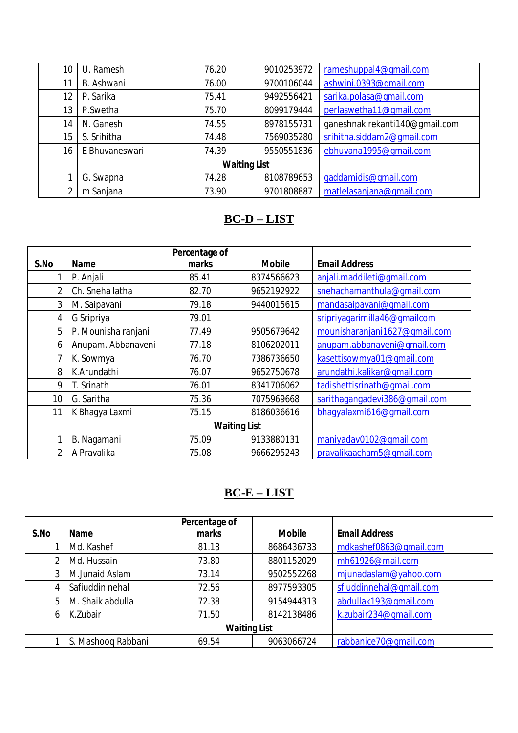| 10 | U. Ramesh      | 76.20               | 9010253972 | rameshuppal4@qmail.com         |
|----|----------------|---------------------|------------|--------------------------------|
| 11 | B. Ashwani     | 76.00               | 9700106044 | ashwini.0393@qmail.com         |
| 12 | P. Sarika      | 75.41               | 9492556421 | sarika.polasa@qmail.com        |
| 13 | P.Swetha       | 75.70               | 8099179444 | perlaswetha11@gmail.com        |
| 14 | N. Ganesh      | 74.55               | 8978155731 | ganeshnakirekanti140@gmail.com |
| 15 | S. Srihitha    | 74.48               | 7569035280 | srihitha.siddam2@qmail.com     |
| 16 | E Bhuvaneswari | 74.39               | 9550551836 | ebhuvana1995@qmail.com         |
|    |                | <b>Waiting List</b> |            |                                |
|    | G. Swapna      | 74.28               | 8108789653 | gaddamidis@gmail.com           |
| 2  | m Sanjana      | 73.90               | 9701808887 | matlelasanjana@qmail.com       |

#### **BC-D – LIST**

|      |                     | Percentage of       |               |                               |
|------|---------------------|---------------------|---------------|-------------------------------|
| S.No | <b>Name</b>         | marks               | <b>Mobile</b> | <b>Email Address</b>          |
|      | P. Anjali           | 85.41               | 8374566623    | anjali.maddileti@qmail.com    |
| 2    | Ch. Sneha latha     | 82.70               | 9652192922    | snehachamanthula@qmail.com    |
| 3    | M. Saipavani        | 79.18               | 9440015615    | mandasaipavani@gmail.com      |
| 4    | G Sripriya          | 79.01               |               | sripriyagarimilla46@gmailcom  |
| 5    | P. Mounisha ranjani | 77.49               | 9505679642    | mounisharanjani1627@qmail.com |
| 6    | Anupam. Abbanaveni  | 77.18               | 8106202011    | anupam.abbanaveni@gmail.com   |
| 7    | K. Sowmya           | 76.70               | 7386736650    | kasettisowmya01@qmail.com     |
| 8    | K.Arundathi         | 76.07               | 9652750678    | arundathi.kalikar@qmail.com   |
| 9    | T. Srinath          | 76.01               | 8341706062    | tadishettisrinath@qmail.com   |
| 10   | G. Saritha          | 75.36               | 7075969668    | sarithagangadevi386@gmail.com |
| 11   | K Bhaqya Laxmi      | 75.15               | 8186036616    | bhaqyalaxmi616@qmail.com      |
|      |                     | <b>Waiting List</b> |               |                               |
|      | B. Nagamani         | 75.09               | 9133880131    | maniyadav0102@qmail.com       |
| 2    | A Pravalika         | 75.08               | 9666295243    | pravalikaacham5@qmail.com     |

### **BC-E – LIST**

|      |                    | Percentage of       |               |                         |
|------|--------------------|---------------------|---------------|-------------------------|
| S.No | <b>Name</b>        | marks               | <b>Mobile</b> | <b>Email Address</b>    |
|      | Md. Kashef         | 81.13               | 8686436733    | mdkashef0863@gmail.com  |
|      | Md. Hussain        | 73.80               | 8801152029    | mh61926@mail.com        |
| 3    | M.Junaid Aslam     | 73.14               | 9502552268    | mjunadaslam@yahoo.com   |
| 4    | Safiuddin nehal    | 72.56               | 8977593305    | sfiuddinnehal@qmail.com |
| 5    | M. Shaik abdulla   | 72.38               | 9154944313    | abdullak193@qmail.com   |
| 6    | K.Zubair           | 71.50               | 8142138486    | k.zubair234@qmail.com   |
|      |                    | <b>Waiting List</b> |               |                         |
|      | S. Mashooq Rabbani | 69.54               | 9063066724    | rabbanice70@gmail.com   |